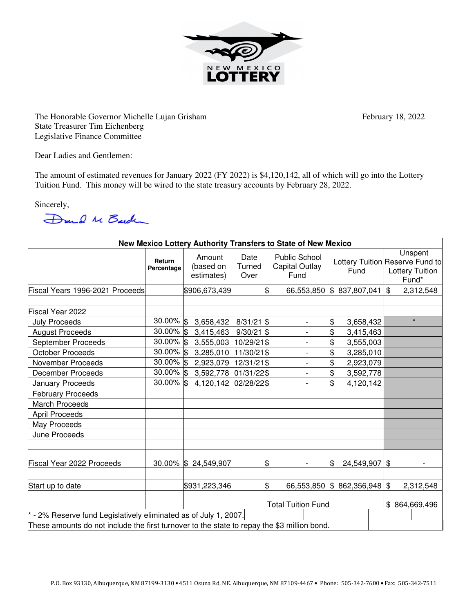

The Honorable Governor Michelle Lujan Grisham February 18, 2022 State Treasurer Tim Eichenberg Legislative Finance Committee

Dear Ladies and Gentlemen:

The amount of estimated revenues for January 2022 (FY 2022) is \$4,120,142, all of which will go into the Lottery Tuition Fund. This money will be wired to the state treasury accounts by February 28, 2022.

Sincerely,

Dand M Barden

| New Mexico Lottery Authority Transfers to State of New Mexico                               |                      |                                   |                           |    |                                                       |                 |  |                                                                               |
|---------------------------------------------------------------------------------------------|----------------------|-----------------------------------|---------------------------|----|-------------------------------------------------------|-----------------|--|-------------------------------------------------------------------------------|
|                                                                                             | Return<br>Percentage | Amount<br>(based on<br>estimates) | Date<br>Turned<br>Over    |    | <b>Public School</b><br><b>Capital Outlay</b><br>Fund | Fund            |  | Unspent<br>Lottery Tuition Reserve Fund to<br><b>Lottery Tuition</b><br>Fund* |
| Fiscal Years 1996-2021 Proceeds                                                             |                      | \$906,673,439                     |                           | \$ | 66,553,850                                            | \$837,807,041   |  | $\mathbb{S}$<br>2,312,548                                                     |
|                                                                                             |                      |                                   |                           |    |                                                       |                 |  |                                                                               |
| Fiscal Year 2022                                                                            |                      |                                   |                           |    |                                                       |                 |  |                                                                               |
| <b>July Proceeds</b>                                                                        | $30.00\%$ \$         | 3,658,432                         | $8/31/21$ \$              |    | $\overline{\phantom{0}}$                              | \$<br>3,658,432 |  | $\star$                                                                       |
| <b>August Proceeds</b>                                                                      | 30.00% \$            | 3,415,463                         | $9/30/21$ \$              |    | $\overline{a}$                                        | \$<br>3,415,463 |  |                                                                               |
| September Proceeds                                                                          | 30.00% \$            | 3,555,003                         | 10/29/21 \$               |    |                                                       | \$<br>3,555,003 |  |                                                                               |
| <b>October Proceeds</b>                                                                     | 30.00% \$            | 3,285,010                         | 11/30/21\$                |    |                                                       | 3,285,010       |  |                                                                               |
| November Proceeds                                                                           | $30.00\%$ \$         | 2,923,079                         | 12/31/21\$                |    | $\overline{\phantom{a}}$                              | \$<br>2,923,079 |  |                                                                               |
| December Proceeds                                                                           | 30.00% \$            | 3,592,778                         | 01/31/22\$                |    | $\overline{\phantom{0}}$                              | \$<br>3,592,778 |  |                                                                               |
| January Proceeds                                                                            | $30.00\%$ \$         | 4,120,142                         | 02/28/22\$                |    | $\overline{\phantom{a}}$                              | \$<br>4,120,142 |  |                                                                               |
| <b>February Proceeds</b>                                                                    |                      |                                   |                           |    |                                                       |                 |  |                                                                               |
| <b>March Proceeds</b>                                                                       |                      |                                   |                           |    |                                                       |                 |  |                                                                               |
| <b>April Proceeds</b>                                                                       |                      |                                   |                           |    |                                                       |                 |  |                                                                               |
| May Proceeds                                                                                |                      |                                   |                           |    |                                                       |                 |  |                                                                               |
| June Proceeds                                                                               |                      |                                   |                           |    |                                                       |                 |  |                                                                               |
| Fiscal Year 2022 Proceeds                                                                   |                      | 30.00% \$24,549,907               |                           | \$ |                                                       | 24,549,907 \$   |  |                                                                               |
| Start up to date                                                                            |                      | \$931,223,346                     |                           | \$ | 66,553,850                                            | \$862,356,948   |  | $\sqrt[6]{3}$<br>2,312,548                                                    |
|                                                                                             |                      |                                   | <b>Total Tuition Fund</b> |    |                                                       |                 |  | \$864,669,496                                                                 |
| - 2% Reserve fund Legislatively eliminated as of July 1, 2007.                              |                      |                                   |                           |    |                                                       |                 |  |                                                                               |
| These amounts do not include the first turnover to the state to repay the \$3 million bond. |                      |                                   |                           |    |                                                       |                 |  |                                                                               |